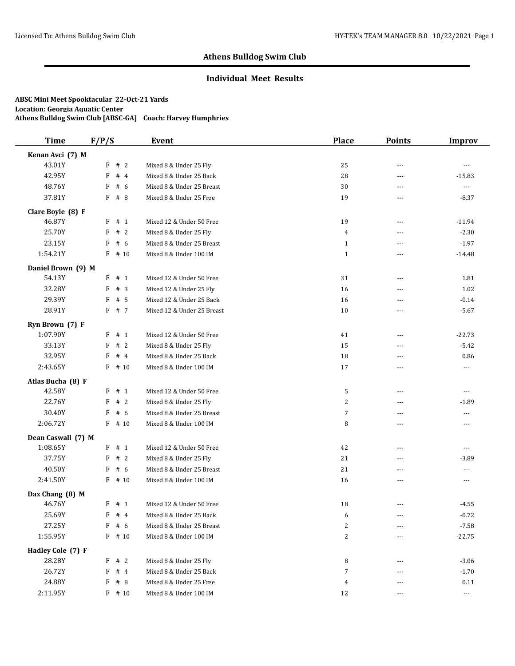## **Individual Meet Results**

| <b>Time</b>        | F/P/S     | Event                      | <b>Place</b>   | <b>Points</b>  | <b>Improv</b>        |
|--------------------|-----------|----------------------------|----------------|----------------|----------------------|
| Kenan Avci (7) M   |           |                            |                |                |                      |
| 43.01Y             | F # 2     | Mixed 8 & Under 25 Fly     | 25             | $- - -$        | $--$                 |
| 42.95Y             | #4<br>F   | Mixed 8 & Under 25 Back    | 28             | $\overline{a}$ | $-15.83$             |
| 48.76Y             | F<br># 6  | Mixed 8 & Under 25 Breast  | 30             | ---            | $\cdots$             |
| 37.81Y             | # 8<br>F  | Mixed 8 & Under 25 Free    | 19             | $---$          | $-8.37$              |
| Clare Boyle (8) F  |           |                            |                |                |                      |
| 46.87Y             | F<br>#1   | Mixed 12 & Under 50 Free   | 19             | $---$          | $-11.94$             |
| 25.70Y             | #2<br>F   | Mixed 8 & Under 25 Fly     | $\overline{4}$ | $\overline{a}$ | $-2.30$              |
| 23.15Y             | F<br>#6   | Mixed 8 & Under 25 Breast  | $\mathbf{1}$   | $- - -$        | $-1.97$              |
| 1:54.21Y           | $F$ # 10  | Mixed 8 & Under 100 IM     | $\mathbf{1}$   | $\overline{a}$ | $-14.48$             |
| Daniel Brown (9) M |           |                            |                |                |                      |
| 54.13Y             | $F$ # 1   | Mixed 12 & Under 50 Free   | 31             | $\cdots$       | 1.81                 |
| 32.28Y             | #3<br>F   | Mixed 12 & Under 25 Fly    | 16             | ---            | 1.02                 |
| 29.39Y             | F<br># 5  | Mixed 12 & Under 25 Back   | 16             | $---$          | $-0.14$              |
| 28.91Y             | F # 7     | Mixed 12 & Under 25 Breast | 10             | ---            | $-5.67$              |
| Ryn Brown (7) F    |           |                            |                |                |                      |
| 1:07.90Y           | F # 1     | Mixed 12 & Under 50 Free   | 41             | ---            | $-22.73$             |
| 33.13Y             | F<br>#2   | Mixed 8 & Under 25 Fly     | 15             | ---            | $-5.42$              |
| 32.95Y             | #4<br>F   | Mixed 8 & Under 25 Back    | 18             | ---            | 0.86                 |
| 2:43.65Y           | F<br># 10 | Mixed 8 & Under 100 IM     | 17             | ---            | ---                  |
| Atlas Bucha (8) F  |           |                            |                |                |                      |
| 42.58Y             | $F$ # 1   | Mixed 12 & Under 50 Free   | 5              | ---            | $\cdots$             |
| 22.76Y             | F<br>#2   | Mixed 8 & Under 25 Fly     | $\overline{c}$ | $---$          | $-1.89$              |
| 30.40Y             | F<br>#6   | Mixed 8 & Under 25 Breast  | $\overline{7}$ | $\overline{a}$ | ---                  |
| 2:06.72Y           | $F$ # 10  | Mixed 8 & Under 100 IM     | 8              | $- - -$        | $\cdots$             |
| Dean Caswall (7) M |           |                            |                |                |                      |
| 1:08.65Y           | $F$ # 1   | Mixed 12 & Under 50 Free   | 42             | ---            | ---                  |
| 37.75Y             | #2<br>F   | Mixed 8 & Under 25 Fly     | 21             | ---            | $-3.89$              |
| 40.50Y             | # 6<br>F  | Mixed 8 & Under 25 Breast  | 21             | ---            | ---                  |
| 2:41.50Y           | $F$ # 10  | Mixed 8 & Under 100 IM     | 16             | $---$          | $\overline{a}$       |
| Dax Chang (8) M    |           |                            |                |                |                      |
| 46.76Y             | $F$ # 1   | Mixed 12 & Under 50 Free   | 18             | $---$          | -4.55                |
| 25.69Y             | F<br>#4   | Mixed 8 & Under 25 Back    | 6              | ---            | $-0.72$              |
| 27.25Y             | F<br># 6  | Mixed 8 & Under 25 Breast  | $\overline{c}$ |                | $-7.58$              |
| 1:55.95Y           | F # 10    | Mixed 8 & Under 100 IM     | $\sqrt{2}$     |                | $-22.75$             |
| Hadley Cole (7) F  |           |                            |                |                |                      |
| 28.28Y             | F<br>#2   | Mixed 8 & Under 25 Fly     | 8              | $---$          | $-3.06$              |
| 26.72Y             | F<br>#4   | Mixed 8 & Under 25 Back    | 7              |                | $-1.70$              |
| 24.88Y             | F<br># 8  | Mixed 8 & Under 25 Free    | $\overline{4}$ | ---            | 0.11                 |
| 2:11.95Y           | $F$ # 10  | Mixed 8 & Under 100 IM     | 12             | ---            | $\scriptstyle\cdots$ |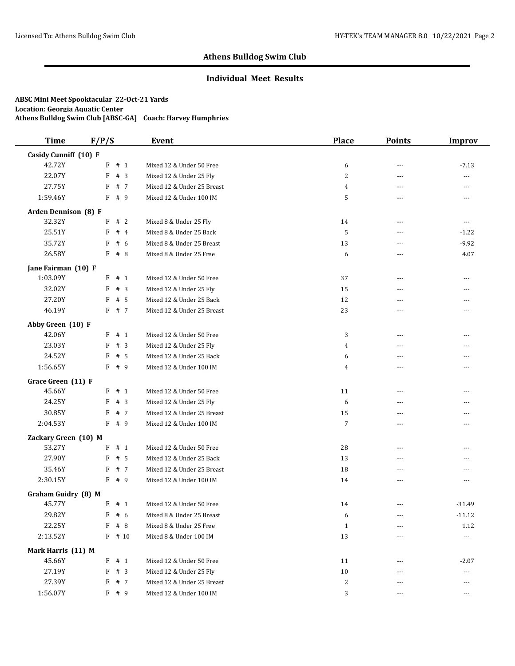## **Individual Meet Results**

| <b>Time</b>           | F/P/S      | Event                      | <b>Place</b>   | <b>Points</b>  | <b>Improv</b> |
|-----------------------|------------|----------------------------|----------------|----------------|---------------|
| Casidy Cunniff (10) F |            |                            |                |                |               |
| 42.72Y                | $F$ # 1    | Mixed 12 & Under 50 Free   | 6              | $---$          | $-7.13$       |
| 22.07Y                | #3<br>F    | Mixed 12 & Under 25 Fly    | $\overline{c}$ | ---            | ---           |
| 27.75Y                | F<br># 7   | Mixed 12 & Under 25 Breast | $\overline{4}$ | $---$          | $---$         |
| 1:59.46Y              | F<br># 9   | Mixed 12 & Under 100 IM    | 5              | $\sim$ $\sim$  | $---$         |
| Arden Dennison (8) F  |            |                            |                |                |               |
| 32.32Y                | F<br>#2    | Mixed 8 & Under 25 Fly     | 14             | $\overline{a}$ | ---           |
| 25.51Y                | F<br>#4    | Mixed 8 & Under 25 Back    | 5              | ---            | $-1.22$       |
| 35.72Y                | # $6$<br>F | Mixed 8 & Under 25 Breast  | 13             | $- - -$        | $-9.92$       |
| 26.58Y                | F<br># 8   | Mixed 8 & Under 25 Free    | 6              | ---            | 4.07          |
| Jane Fairman (10) F   |            |                            |                |                |               |
| 1:03.09Y              | # 1<br>F   | Mixed 12 & Under 50 Free   | 37             | ---            | $\cdots$      |
| 32.02Y                | F<br>#3    | Mixed 12 & Under 25 Fly    | 15             | ---            | ---           |
| 27.20Y                | F<br># 5   | Mixed 12 & Under 25 Back   | 12             | $---$          | ---           |
| 46.19Y                | F # 7      | Mixed 12 & Under 25 Breast | 23             | ---            | ---           |
| Abby Green (10) F     |            |                            |                |                |               |
| 42.06Y                | F # 1      | Mixed 12 & Under 50 Free   | 3              | ---            | ---           |
| 23.03Y                | F<br>#3    | Mixed 12 & Under 25 Fly    | 4              | $- - -$        | $---$         |
| 24.52Y                | F<br># 5   | Mixed 12 & Under 25 Back   | 6              | ---            | ---           |
| 1:56.65Y              | F # 9      | Mixed 12 & Under 100 IM    | 4              | ---            | ---           |
| Grace Green (11) F    |            |                            |                |                |               |
| 45.66Y                | F # 1      | Mixed 12 & Under 50 Free   | 11             | ---            | $---$         |
| 24.25Y                | #3<br>F    | Mixed 12 & Under 25 Fly    | 6              | ---            | ---           |
| 30.85Y                | # 7<br>F   | Mixed 12 & Under 25 Breast | 15             | ---            | ---           |
| 2:04.53Y              | F<br># 9   | Mixed 12 & Under 100 IM    | $\overline{7}$ | $---$          | $- - -$       |
| Zackary Green (10) M  |            |                            |                |                |               |
| 53.27Y                | $F$ # 1    | Mixed 12 & Under 50 Free   | 28             | $- - -$        | ---           |
| 27.90Y                | F<br># 5   | Mixed 12 & Under 25 Back   | 13             | ---            | ---           |
| 35.46Y                | # 7<br>F   | Mixed 12 & Under 25 Breast | 18             | ---            | ---           |
| 2:30.15Y              | F # 9      | Mixed 12 & Under 100 IM    | 14             | $- - -$        | $---$         |
| Graham Guidry (8) M   |            |                            |                |                |               |
| 45.77Y                | $F$ # 1    | Mixed 12 & Under 50 Free   | 14             | $\overline{a}$ | $-31.49$      |
| 29.82Y                | $F$ # 6    | Mixed 8 & Under 25 Breast  | 6              | $\cdots$       | $-11.12$      |
| 22.25Y                | #8<br>F    | Mixed 8 & Under 25 Free    | $\mathbf{1}$   | ---            | 1.12          |
| 2:13.52Y              | $F$ # 10   | Mixed 8 & Under 100 IM     | 13             | ---            | ---           |
| Mark Harris (11) M    |            |                            |                |                |               |
| 45.66Y                | F # 1      | Mixed 12 & Under 50 Free   | 11             | $---$          | $-2.07$       |
| 27.19Y                | F # 3      | Mixed 12 & Under 25 Fly    | 10             |                | ---           |
| 27.39Y                | F # 7      | Mixed 12 & Under 25 Breast | 2              |                | $\cdots$      |
| 1:56.07Y              | F # 9      | Mixed 12 & Under 100 IM    | 3              | $---$          | $\cdots$      |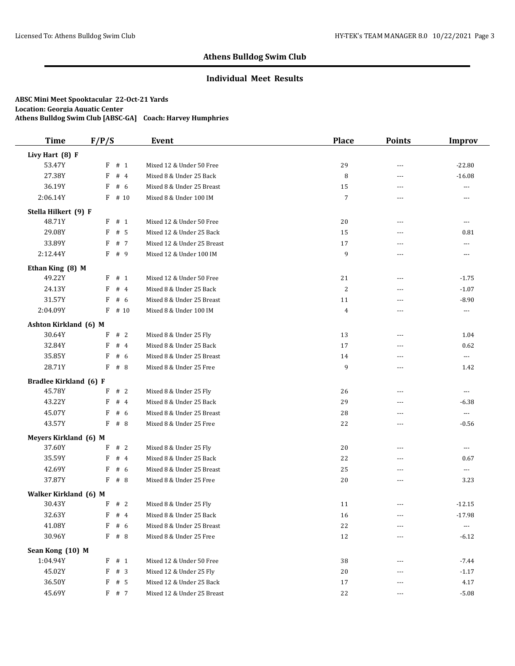## **Individual Meet Results**

| <b>Time</b>                   | F/P/S      | Event                      | <b>Place</b>   | <b>Points</b>  | <b>Improv</b>            |
|-------------------------------|------------|----------------------------|----------------|----------------|--------------------------|
| Livy Hart (8) F               |            |                            |                |                |                          |
| 53.47Y                        | # 1<br>F   | Mixed 12 & Under 50 Free   | 29             | $\overline{a}$ | $-22.80$                 |
| 27.38Y                        | F<br>#4    | Mixed 8 & Under 25 Back    | 8              | $\overline{a}$ | $-16.08$                 |
| 36.19Y                        | F<br># 6   | Mixed 8 & Under 25 Breast  | 15             | ---            | ---                      |
| 2:06.14Y                      | F<br># 10  | Mixed 8 & Under 100 IM     | $\overline{7}$ | $\overline{a}$ | $---$                    |
| Stella Hilkert (9) F          |            |                            |                |                |                          |
| 48.71Y                        | $F$ # 1    | Mixed 12 & Under 50 Free   | 20             | $\overline{a}$ | $\overline{\phantom{a}}$ |
| 29.08Y                        | #5<br>F    | Mixed 12 & Under 25 Back   | 15             | $---$          | 0.81                     |
| 33.89Y                        | # 7<br>F   | Mixed 12 & Under 25 Breast | 17             | $\overline{a}$ | ---                      |
| 2:12.44Y                      | F<br>#9    | Mixed 12 & Under 100 IM    | 9              | $---$          | $\overline{a}$           |
| Ethan King (8) M              |            |                            |                |                |                          |
| 49.22Y                        | # 1<br>F   | Mixed 12 & Under 50 Free   | 21             | $---$          | $-1.75$                  |
| 24.13Y                        | #4<br>F    | Mixed 8 & Under 25 Back    | 2              | $\overline{a}$ | $-1.07$                  |
| 31.57Y                        | # 6<br>F   | Mixed 8 & Under 25 Breast  | 11             | ---            | $-8.90$                  |
| 2:04.09Y                      | F<br># 10  | Mixed 8 & Under 100 IM     | 4              | $\overline{a}$ | $---$                    |
| Ashton Kirkland (6) M         |            |                            |                |                |                          |
| 30.64Y                        | #2<br>F    | Mixed 8 & Under 25 Fly     | 13             | $---$          | 1.04                     |
| 32.84Y                        | F<br>#4    | Mixed 8 & Under 25 Back    | 17             | ---            | 0.62                     |
| 35.85Y                        | F<br># 6   | Mixed 8 & Under 25 Breast  | 14             | $- - -$        | $\scriptstyle\cdots$     |
| 28.71Y                        | F<br>#8    | Mixed 8 & Under 25 Free    | 9              | ---            | 1.42                     |
| <b>Bradlee Kirkland (6) F</b> |            |                            |                |                |                          |
| 45.78Y                        | F<br>#2    | Mixed 8 & Under 25 Fly     | 26             | $---$          | ---                      |
| 43.22Y                        | F<br>#4    | Mixed 8 & Under 25 Back    | 29             | ---            | $-6.38$                  |
| 45.07Y                        | F<br># 6   | Mixed 8 & Under 25 Breast  | 28             | $\overline{a}$ | $\cdots$                 |
| 43.57Y                        | F<br>#8    | Mixed 8 & Under 25 Free    | 22             | ---            | $-0.56$                  |
| <b>Meyers Kirkland (6) M</b>  |            |                            |                |                |                          |
| 37.60Y                        | #2<br>F    | Mixed 8 & Under 25 Fly     | 20             | ---            | ---                      |
| 35.59Y                        | F<br>#4    | Mixed 8 & Under 25 Back    | 22             | $\overline{a}$ | 0.67                     |
| 42.69Y                        | F<br># 6   | Mixed 8 & Under 25 Breast  | 25             | ---            | $---$                    |
| 37.87Y                        | F<br># 8   | Mixed 8 & Under 25 Free    | 20             | $---$          | 3.23                     |
| Walker Kirkland (6) M         |            |                            |                |                |                          |
| 30.43Y                        | F # 2      | Mixed 8 & Under 25 Fly     | 11             | ---            | $-12.15$                 |
| 32.63Y                        | $F$ # 4    | Mixed 8 & Under 25 Back    | $16\,$         | $---$          | $-17.98$                 |
| 41.08Y                        | F<br># $6$ | Mixed 8 & Under 25 Breast  | 22             | $---$          | $\cdots$                 |
| 30.96Y                        | $F$ # 8    | Mixed 8 & Under 25 Free    | 12             | $---$          | $-6.12$                  |
| Sean Kong (10) M              |            |                            |                |                |                          |
| 1:04.94Y                      | $F$ # 1    | Mixed 12 & Under 50 Free   | 38             | ---            | $-7.44$                  |
| 45.02Y                        | F<br>#3    | Mixed 12 & Under 25 Fly    | 20             | ---            | $-1.17$                  |
| 36.50Y                        | # 5<br>F   | Mixed 12 & Under 25 Back   | 17             |                | 4.17                     |
| 45.69Y                        | F # 7      | Mixed 12 & Under 25 Breast | 22             | $---$          | $-5.08$                  |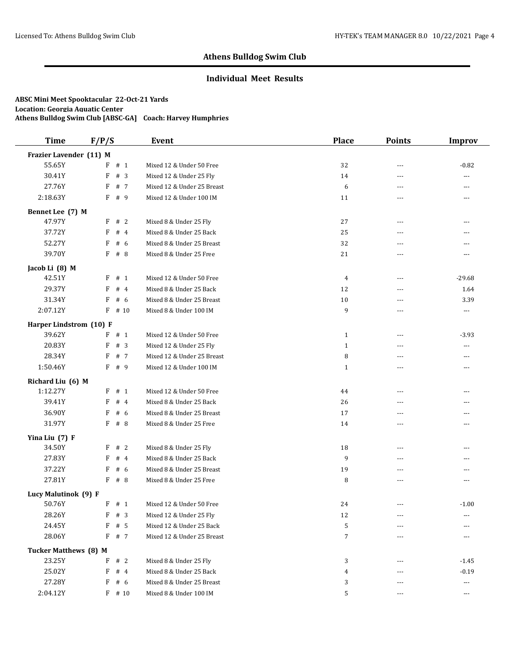### **Individual Meet Results**

| <b>Time</b>                  | F/P/S    | Event                      | <b>Place</b>   | <b>Points</b>  | <b>Improv</b>  |
|------------------------------|----------|----------------------------|----------------|----------------|----------------|
| Frazier Lavender (11) M      |          |                            |                |                |                |
| 55.65Y                       | $F$ # 1  | Mixed 12 & Under 50 Free   | 32             | $---$          | $-0.82$        |
| 30.41Y                       | F<br>#3  | Mixed 12 & Under 25 Fly    | 14             | ---            | ---            |
| 27.76Y                       | F<br># 7 | Mixed 12 & Under 25 Breast | 6              | $- - -$        | $\cdots$       |
| 2:18.63Y                     | # 9<br>F | Mixed 12 & Under 100 IM    | 11             | $\overline{a}$ | $---$          |
| Bennet Lee (7) M             |          |                            |                |                |                |
| 47.97Y                       | F<br>#2  | Mixed 8 & Under 25 Fly     | 27             | $\cdots$       | ---            |
| 37.72Y                       | #4<br>F  | Mixed 8 & Under 25 Back    | 25             | ---            | ---            |
| 52.27Y                       | # 6<br>F | Mixed 8 & Under 25 Breast  | 32             | $- - -$        | $- - -$        |
| 39.70Y                       | F<br># 8 | Mixed 8 & Under 25 Free    | 21             |                | ---            |
| Jacob Li (8) M               |          |                            |                |                |                |
| 42.51Y                       | F<br># 1 | Mixed 12 & Under 50 Free   | $\overline{4}$ | $\cdots$       | $-29.68$       |
| 29.37Y                       | F<br>#4  | Mixed 8 & Under 25 Back    | 12             | ---            | 1.64           |
| 31.34Y                       | F<br># 6 | Mixed 8 & Under 25 Breast  | 10             | ---            | 3.39           |
| 2:07.12Y                     | $F$ # 10 | Mixed 8 & Under 100 IM     | 9              | ---            | ---            |
| Harper Lindstrom (10) F      |          |                            |                |                |                |
| 39.62Y                       | $F$ # 1  | Mixed 12 & Under 50 Free   | $\mathbf{1}$   | $---$          | $-3.93$        |
| 20.83Y                       | F<br>#3  | Mixed 12 & Under 25 Fly    | $\mathbf{1}$   | $- - -$        | $\overline{a}$ |
| 28.34Y                       | # 7<br>F | Mixed 12 & Under 25 Breast | 8              | $- - -$        | ---            |
| 1:50.46Y                     | F # 9    | Mixed 12 & Under 100 IM    | $\mathbf{1}$   | ---            | ---            |
| Richard Liu (6) M            |          |                            |                |                |                |
| 1:12.27Y                     | F # 1    | Mixed 12 & Under 50 Free   | 44             | ---            | $- - -$        |
| 39.41Y                       | F<br>#4  | Mixed 8 & Under 25 Back    | 26             | $- - -$        | ---            |
| 36.90Y                       | # 6<br>F | Mixed 8 & Under 25 Breast  | 17             | ---            | ---            |
| 31.97Y                       | F<br># 8 | Mixed 8 & Under 25 Free    | 14             | $---$          | $- - -$        |
| Yina Liu (7) F               |          |                            |                |                |                |
| 34.50Y                       | #2<br>F  | Mixed 8 & Under 25 Fly     | 18             | $- - -$        | $- - -$        |
| 27.83Y                       | F<br>#4  | Mixed 8 & Under 25 Back    | 9              | ---            | ---            |
| 37.22Y                       | # 6<br>F | Mixed 8 & Under 25 Breast  | 19             | ---            | ---            |
| 27.81Y                       | $F$ # 8  | Mixed 8 & Under 25 Free    | 8              | $- - -$        | $---$          |
| Lucy Malutinok (9) F         |          |                            |                |                |                |
| 50.76Y                       | $F$ # 1  | Mixed 12 & Under 50 Free   | 24             | ---            | $-1.00$        |
| 28.26Y                       | $F$ # 3  | Mixed 12 & Under 25 Fly    | 12             | ---            | ---            |
| 24.45Y                       | F<br># 5 | Mixed 12 & Under 25 Back   | 5              | $---$          | ---            |
| 28.06Y                       | $F$ # 7  | Mixed 12 & Under 25 Breast | 7              | ---            | $\cdots$       |
| <b>Tucker Matthews (8) M</b> |          |                            |                |                |                |
| 23.25Y                       | F<br>#2  | Mixed 8 & Under 25 Fly     | 3              | $- - -$        | $-1.45$        |
| 25.02Y                       | F<br>#4  | Mixed 8 & Under 25 Back    | $\overline{4}$ |                | $-0.19$        |
| 27.28Y                       | F # 6    | Mixed 8 & Under 25 Breast  | 3              |                | $\cdots$       |
| 2:04.12Y                     | $F$ # 10 | Mixed 8 & Under 100 IM     | 5              | $---$          | ---            |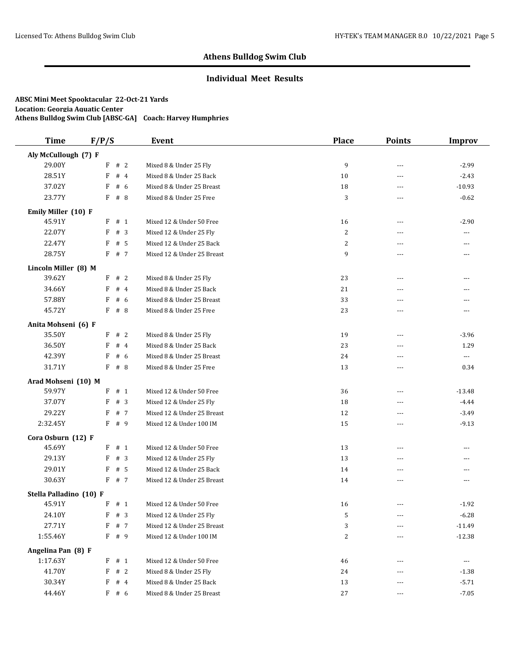## **Individual Meet Results**

| <b>Time</b>             | F/P/S    | Event                      | <b>Place</b>   | <b>Points</b>  | <b>Improv</b>            |
|-------------------------|----------|----------------------------|----------------|----------------|--------------------------|
| Aly McCullough (7) F    |          |                            |                |                |                          |
| 29.00Y                  | F # 2    | Mixed 8 & Under 25 Fly     | 9              | $\overline{a}$ | $-2.99$                  |
| 28.51Y                  | #4<br>F  | Mixed 8 & Under 25 Back    | 10             | ---            | $-2.43$                  |
| 37.02Y                  | F<br>#6  | Mixed 8 & Under 25 Breast  | 18             | ---            | $-10.93$                 |
| 23.77Y                  | # 8<br>F | Mixed 8 & Under 25 Free    | 3              | $---$          | $-0.62$                  |
| Emily Miller (10) F     |          |                            |                |                |                          |
| 45.91Y                  | # 1<br>F | Mixed 12 & Under 50 Free   | 16             | $---$          | $-2.90$                  |
| 22.07Y                  | F<br>#3  | Mixed 12 & Under 25 Fly    | 2              | $\overline{a}$ | ---                      |
| 22.47Y                  | F<br># 5 | Mixed 12 & Under 25 Back   | $\overline{2}$ | $- - -$        | ---                      |
| 28.75Y                  | F # 7    | Mixed 12 & Under 25 Breast | 9              | ---            | ---                      |
| Lincoln Miller (8) M    |          |                            |                |                |                          |
| 39.62Y                  | #2<br>F  | Mixed 8 & Under 25 Fly     | 23             | $---$          | ---                      |
| 34.66Y                  | #4<br>F  | Mixed 8 & Under 25 Back    | 21             | ---            | ---                      |
| 57.88Y                  | F<br>#6  | Mixed 8 & Under 25 Breast  | 33             | ---            | ---                      |
| 45.72Y                  | $F$ # 8  | Mixed 8 & Under 25 Free    | 23             | ---            | ---                      |
| Anita Mohseni (6) F     |          |                            |                |                |                          |
| 35.50Y                  | F # 2    | Mixed 8 & Under 25 Fly     | 19             | $---$          | $-3.96$                  |
| 36.50Y                  | F<br>#4  | Mixed 8 & Under 25 Back    | 23             | $- - -$        | 1.29                     |
| 42.39Y                  | F<br># 6 | Mixed 8 & Under 25 Breast  | 24             | ---            | $\hspace{0.05cm} \ldots$ |
| 31.71Y                  | $F$ # 8  | Mixed 8 & Under 25 Free    | 13             | ---            | 0.34                     |
| Arad Mohseni (10) M     |          |                            |                |                |                          |
| 59.97Y                  | F # 1    | Mixed 12 & Under 50 Free   | 36             | $\cdots$       | $-13.48$                 |
| 37.07Y                  | F<br>#3  | Mixed 12 & Under 25 Fly    | 18             | $\sim$ $\sim$  | $-4.44$                  |
| 29.22Y                  | F<br>#7  | Mixed 12 & Under 25 Breast | 12             | ---            | $-3.49$                  |
| 2:32.45Y                | F<br># 9 | Mixed 12 & Under 100 IM    | 15             | $- - -$        | $-9.13$                  |
| Cora Osburn (12) F      |          |                            |                |                |                          |
| 45.69Y                  | F # 1    | Mixed 12 & Under 50 Free   | 13             | $\sim$ $\sim$  | ---                      |
| 29.13Y                  | F<br>#3  | Mixed 12 & Under 25 Fly    | 13             | ---            | ---                      |
| 29.01Y                  | # 5<br>F | Mixed 12 & Under 25 Back   | 14             | ---            | ---                      |
| 30.63Y                  | F<br># 7 | Mixed 12 & Under 25 Breast | 14             | ---            | ---                      |
| Stella Palladino (10) F |          |                            |                |                |                          |
| 45.91Y                  | F # 1    | Mixed 12 & Under 50 Free   | 16             | $---$          | $-1.92$                  |
| 24.10Y                  | $F$ # 3  | Mixed 12 & Under 25 Fly    | $\mathcal{P}$  | $\cdots$       | $-6.28$                  |
| 27.71Y                  | F<br># 7 | Mixed 12 & Under 25 Breast | 3              | ---            | $-11.49$                 |
| 1:55.46Y                | F # 9    | Mixed 12 & Under 100 IM    | 2              | ---            | $-12.38$                 |
| Angelina Pan (8) F      |          |                            |                |                |                          |
| 1:17.63Y                | # 1<br>F | Mixed 12 & Under 50 Free   | 46             | ---            | $\cdots$                 |
| 41.70Y                  | F<br>#2  | Mixed 8 & Under 25 Fly     | 24             |                | $-1.38$                  |
| 30.34Y                  | F<br>#4  | Mixed 8 & Under 25 Back    | 13             | ---            | $-5.71$                  |
| 44.46Y                  | F # 6    | Mixed 8 & Under 25 Breast  | 27             | ---            | $-7.05$                  |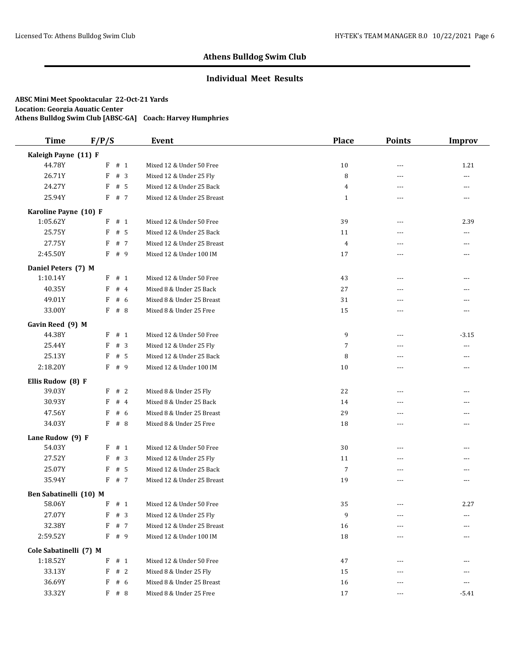## **Individual Meet Results**

| <b>Time</b>            | F/P/S    | Event                      | <b>Place</b>   | <b>Points</b> | <b>Improv</b> |
|------------------------|----------|----------------------------|----------------|---------------|---------------|
| Kaleigh Payne (11) F   |          |                            |                |               |               |
| 44.78Y                 | $F$ # 1  | Mixed 12 & Under 50 Free   | 10             | $\sim$ $\sim$ | 1.21          |
| 26.71Y                 | F<br>#3  | Mixed 12 & Under 25 Fly    | 8              | ---           | ---           |
| 24.27Y                 | F<br># 5 | Mixed 12 & Under 25 Back   | $\overline{4}$ | $---$         | ---           |
| 25.94Y                 | F<br># 7 | Mixed 12 & Under 25 Breast | $\mathbf{1}$   | $---$         | ---           |
| Karoline Payne (10) F  |          |                            |                |               |               |
| 1:05.62Y               | # 1<br>F | Mixed 12 & Under 50 Free   | 39             | $---$         | 2.39          |
| 25.75Y                 | F<br># 5 | Mixed 12 & Under 25 Back   | 11             | $---$         | ---           |
| 27.75Y                 | # 7<br>F | Mixed 12 & Under 25 Breast | $\overline{4}$ | $-$           | ---           |
| 2:45.50Y               | F<br># 9 | Mixed 12 & Under 100 IM    | 17             | ---           | ---           |
| Daniel Peters (7) M    |          |                            |                |               |               |
| 1:10.14Y               | # 1<br>F | Mixed 12 & Under 50 Free   | 43             | $---$         | ---           |
| 40.35Y                 | #4<br>F  | Mixed 8 & Under 25 Back    | 27             | $---$         | ---           |
| 49.01Y                 | F<br># 6 | Mixed 8 & Under 25 Breast  | 31             | ---           | ---           |
| 33.00Y                 | $F$ # 8  | Mixed 8 & Under 25 Free    | 15             | $- - -$       | ---           |
| Gavin Reed (9) M       |          |                            |                |               |               |
| 44.38Y                 | F<br># 1 | Mixed 12 & Under 50 Free   | 9              | $---$         | $-3.15$       |
| 25.44Y                 | F<br>#3  | Mixed 12 & Under 25 Fly    | 7              | $-$           | ---           |
| 25.13Y                 | F<br># 5 | Mixed 12 & Under 25 Back   | 8              | ---           | ---           |
| 2:18.20Y               | $F$ # 9  | Mixed 12 & Under 100 IM    | 10             | $- - -$       | ---           |
| Ellis Rudow (8) F      |          |                            |                |               |               |
| 39.03Y                 | F # 2    | Mixed 8 & Under 25 Fly     | 22             | $- - -$       | ---           |
| 30.93Y                 | F<br>#4  | Mixed 8 & Under 25 Back    | 14             | ---           | ---           |
| 47.56Y                 | F<br># 6 | Mixed 8 & Under 25 Breast  | 29             | ---           | ---           |
| 34.03Y                 | F<br># 8 | Mixed 8 & Under 25 Free    | 18             | $---$         | ---           |
| Lane Rudow (9) F       |          |                            |                |               |               |
| 54.03Y                 | # 1<br>F | Mixed 12 & Under 50 Free   | 30             | $-$           | ---           |
| 27.52Y                 | F<br>#3  | Mixed 12 & Under 25 Fly    | 11             | $---$         | ---           |
| 25.07Y                 | # 5<br>F | Mixed 12 & Under 25 Back   | $\overline{7}$ | $- - -$       | ---           |
| 35.94Y                 | F<br># 7 | Mixed 12 & Under 25 Breast | 19             | ---           | ---           |
| Ben Sabatinelli (10) M |          |                            |                |               |               |
| 58.06Y                 | F # 1    | Mixed 12 & Under 50 Free   | 35             | ---           | 2.27          |
| 27.07Y                 | $F$ # 3  | Mixed 12 & Under 25 Fly    | 9              | ---           | ---           |
| 32.38Y                 | F<br># 7 | Mixed 12 & Under 25 Breast | 16             | $\cdots$      | ---           |
| 2:59.52Y               | F # 9    | Mixed 12 & Under 100 IM    | 18             | ---           | ---           |
| Cole Sabatinelli (7) M |          |                            |                |               |               |
| 1:18.52Y               | F<br># 1 | Mixed 12 & Under 50 Free   | 47             | ---           |               |
| 33.13Y                 | F<br>#2  | Mixed 8 & Under 25 Fly     | 15             | $---$         | ---           |
| 36.69Y                 | $F$ # 6  | Mixed 8 & Under 25 Breast  | 16             |               | ---           |
| 33.32Y                 | F # 8    | Mixed 8 & Under 25 Free    | 17             | $\cdots$      | $-5.41$       |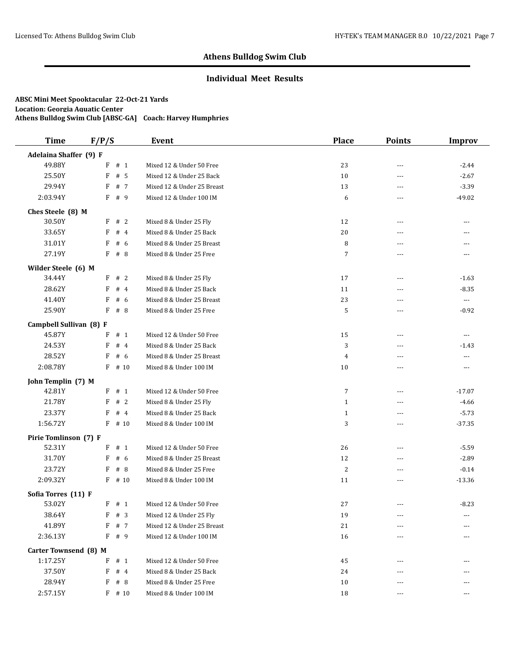### **Individual Meet Results**

| <b>Time</b>             | F/P/S     | Event                      | <b>Place</b>   | <b>Points</b>  | <b>Improv</b>        |
|-------------------------|-----------|----------------------------|----------------|----------------|----------------------|
| Adelaina Shaffer (9) F  |           |                            |                |                |                      |
| 49.88Y                  | $F$ # 1   | Mixed 12 & Under 50 Free   | 23             | $\sim$ $\sim$  | $-2.44$              |
| 25.50Y                  | F<br>#5   | Mixed 12 & Under 25 Back   | 10             | ---            | $-2.67$              |
| 29.94Y                  | F<br># 7  | Mixed 12 & Under 25 Breast | 13             | ---            | $-3.39$              |
| 2:03.94Y                | # 9<br>F  | Mixed 12 & Under 100 IM    | 6              | $---$          | $-49.02$             |
| Ches Steele (8) M       |           |                            |                |                |                      |
| 30.50Y                  | #2<br>F   | Mixed 8 & Under 25 Fly     | 12             | $---$          | ---                  |
| 33.65Y                  | #4<br>F   | Mixed 8 & Under 25 Back    | 20             | $\overline{a}$ | ---                  |
| 31.01Y                  | # 6<br>F  | Mixed 8 & Under 25 Breast  | 8              | $- - -$        | ---                  |
| 27.19Y                  | F<br># 8  | Mixed 8 & Under 25 Free    | 7              | ---            | ---                  |
| Wilder Steele (6) M     |           |                            |                |                |                      |
| 34.44Y                  | #2<br>F   | Mixed 8 & Under 25 Fly     | 17             | $---$          | $-1.63$              |
| 28.62Y                  | #4<br>F   | Mixed 8 & Under 25 Back    | 11             | ---            | $-8.35$              |
| 41.40Y                  | F<br>#6   | Mixed 8 & Under 25 Breast  | 23             | ---            | $\cdots$             |
| 25.90Y                  | F # 8     | Mixed 8 & Under 25 Free    | 5              | ---            | $-0.92$              |
| Campbell Sullivan (8) F |           |                            |                |                |                      |
| 45.87Y                  | F<br># 1  | Mixed 12 & Under 50 Free   | 15             | $---$          | $\scriptstyle\cdots$ |
| 24.53Y                  | F<br>#4   | Mixed 8 & Under 25 Back    | 3              | $- - -$        | $-1.43$              |
| 28.52Y                  | F<br>#6   | Mixed 8 & Under 25 Breast  | $\overline{4}$ | ---            | ---                  |
| 2:08.78Y                | F<br># 10 | Mixed 8 & Under 100 IM     | 10             | ---            | ---                  |
| John Templin (7) M      |           |                            |                |                |                      |
| 42.81Y                  | $F$ # 1   | Mixed 12 & Under 50 Free   | 7              | $- - -$        | $-17.07$             |
| 21.78Y                  | F<br>#2   | Mixed 8 & Under 25 Fly     | $\mathbf{1}$   | $\sim$ $\sim$  | $-4.66$              |
| 23.37Y                  | F<br>#4   | Mixed 8 & Under 25 Back    | $\mathbf{1}$   | ---            | $-5.73$              |
| 1:56.72Y                | F<br># 10 | Mixed 8 & Under 100 IM     | 3              | $- - -$        | $-37.35$             |
| Pirie Tomlinson (7) F   |           |                            |                |                |                      |
| 52.31Y                  | $F$ # 1   | Mixed 12 & Under 50 Free   | 26             | $\sim$ $\sim$  | $-5.59$              |
| 31.70Y                  | F<br>#6   | Mixed 8 & Under 25 Breast  | 12             | ---            | $-2.89$              |
| 23.72Y                  | F<br>#8   | Mixed 8 & Under 25 Free    | 2              | ---            | $-0.14$              |
| 2:09.32Y                | F<br># 10 | Mixed 8 & Under 100 IM     | 11             | $\overline{a}$ | $-13.36$             |
| Sofia Torres (11) F     |           |                            |                |                |                      |
| 53.02Y                  | $F$ # 1   | Mixed 12 & Under 50 Free   | 27             | $---$          | $-8.23$              |
| 38.64Y                  | $F$ # 3   | Mixed 12 & Under 25 Fly    | 19             | $\cdots$       | ---                  |
| 41.89Y                  | F<br># 7  | Mixed 12 & Under 25 Breast | 21             | ---            | ---                  |
| 2:36.13Y                | F<br># 9  | Mixed 12 & Under 100 IM    | 16             | ---            | ---                  |
| Carter Townsend (8) M   |           |                            |                |                |                      |
| 1:17.25Y                | F<br># 1  | Mixed 12 & Under 50 Free   | 45             | $---$          | ---                  |
| 37.50Y                  | F<br>#4   | Mixed 8 & Under 25 Back    | 24             |                |                      |
| 28.94Y                  | F<br># 8  | Mixed 8 & Under 25 Free    | 10             |                | ---                  |
| 2:57.15Y                | $F$ # 10  | Mixed 8 & Under 100 IM     | 18             |                | ---                  |